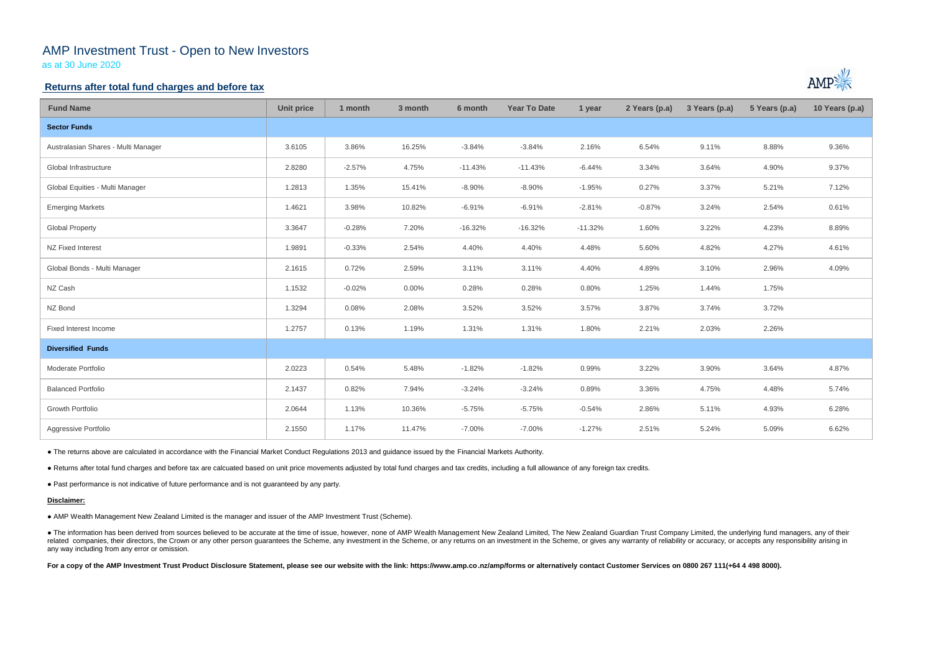# AMP Investment Trust - Open to New Investors

as at 30 June 2020

### **Returns after total fund charges and before tax**

| <b>Fund Name</b>                    | <b>Unit price</b> | 1 month  | 3 month  | 6 month   | <b>Year To Date</b> | 1 year    | 2 Years (p.a) | 3 Years (p.a) | 5 Years (p.a) | 10 Years (p.a) |
|-------------------------------------|-------------------|----------|----------|-----------|---------------------|-----------|---------------|---------------|---------------|----------------|
| <b>Sector Funds</b>                 |                   |          |          |           |                     |           |               |               |               |                |
| Australasian Shares - Multi Manager | 3.6105            | 3.86%    | 16.25%   | $-3.84%$  | $-3.84%$            | 2.16%     | 6.54%         | 9.11%         | 8.88%         | 9.36%          |
| Global Infrastructure               | 2.8280            | $-2.57%$ | 4.75%    | $-11.43%$ | $-11.43%$           | $-6.44%$  | 3.34%         | 3.64%         | 4.90%         | 9.37%          |
| Global Equities - Multi Manager     | 1.2813            | 1.35%    | 15.41%   | $-8.90%$  | $-8.90%$            | $-1.95%$  | 0.27%         | 3.37%         | 5.21%         | 7.12%          |
| <b>Emerging Markets</b>             | 1.4621            | 3.98%    | 10.82%   | $-6.91%$  | $-6.91%$            | $-2.81%$  | $-0.87%$      | 3.24%         | 2.54%         | 0.61%          |
| <b>Global Property</b>              | 3.3647            | $-0.28%$ | 7.20%    | $-16.32%$ | $-16.32%$           | $-11.32%$ | 1.60%         | 3.22%         | 4.23%         | 8.89%          |
| NZ Fixed Interest                   | 1.9891            | $-0.33%$ | 2.54%    | 4.40%     | 4.40%               | 4.48%     | 5.60%         | 4.82%         | 4.27%         | 4.61%          |
| Global Bonds - Multi Manager        | 2.1615            | 0.72%    | 2.59%    | 3.11%     | 3.11%               | 4.40%     | 4.89%         | 3.10%         | 2.96%         | 4.09%          |
| NZ Cash                             | 1.1532            | $-0.02%$ | $0.00\%$ | 0.28%     | 0.28%               | 0.80%     | 1.25%         | 1.44%         | 1.75%         |                |
| NZ Bond                             | 1.3294            | 0.08%    | 2.08%    | 3.52%     | 3.52%               | 3.57%     | 3.87%         | 3.74%         | 3.72%         |                |
| Fixed Interest Income               | 1.2757            | 0.13%    | 1.19%    | 1.31%     | 1.31%               | 1.80%     | 2.21%         | 2.03%         | 2.26%         |                |
| <b>Diversified Funds</b>            |                   |          |          |           |                     |           |               |               |               |                |
| Moderate Portfolio                  | 2.0223            | 0.54%    | 5.48%    | $-1.82%$  | $-1.82%$            | 0.99%     | 3.22%         | 3.90%         | 3.64%         | 4.87%          |
| <b>Balanced Portfolio</b>           | 2.1437            | 0.82%    | 7.94%    | $-3.24%$  | $-3.24%$            | 0.89%     | 3.36%         | 4.75%         | 4.48%         | 5.74%          |
| Growth Portfolio                    | 2.0644            | 1.13%    | 10.36%   | $-5.75%$  | $-5.75%$            | $-0.54%$  | 2.86%         | 5.11%         | 4.93%         | 6.28%          |
| Aggressive Portfolio                | 2.1550            | 1.17%    | 11.47%   | $-7.00%$  | $-7.00%$            | $-1.27%$  | 2.51%         | 5.24%         | 5.09%         | 6.62%          |

• The information has been derived from sources believed to be accurate at the time of issue, however, none of AMP Wealth Management New Zealand Limited, The New Zealand Guardian Trust Company Limited, the underlying fund related companies, their directors, the Crown or any other person guarantees the Scheme, any investment in the Scheme, or any returns on an investment in the Scheme, or gives any warranty of reliability or accuracy, or acc any way including from any error or omission.

For a copy of the AMP Investment Trust Product Disclosure Statement, please see our website with the link: https://www.amp.co.nz/amp/forms or alternatively contact Customer Services on 0800 267 111(+64 4 498 8000).



● The returns above are calculated in accordance with the Financial Market Conduct Regulations 2013 and guidance issued by the Financial Markets Authority.

● Returns after total fund charges and before tax are calcuated based on unit price movements adjusted by total fund charges and tax credits, including a full allowance of any foreign tax credits.

● Past performance is not indicative of future performance and is not guaranteed by any party.

### **Disclaimer:**

● AMP Wealth Management New Zealand Limited is the manager and issuer of the AMP Investment Trust (Scheme).